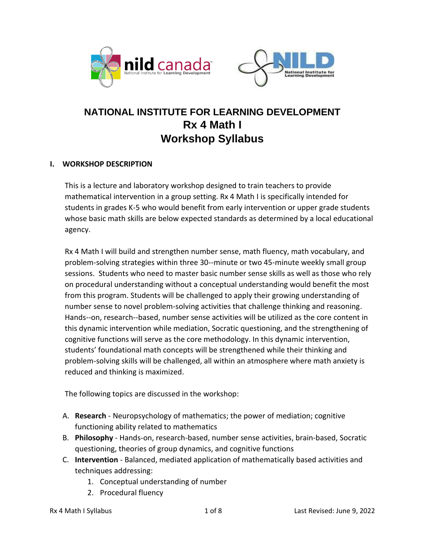



## **NATIONAL INSTITUTE FOR LEARNING DEVELOPMENT Rx 4 Math I Workshop Syllabus**

### **I. WORKSHOP DESCRIPTION**

This is a lecture and laboratory workshop designed to train teachers to provide mathematical intervention in a group setting. Rx 4 Math I is specifically intended for students in grades K-5 who would benefit from early intervention or upper grade students whose basic math skills are below expected standards as determined by a local educational agency.

Rx 4 Math I will build and strengthen number sense, math fluency, math vocabulary, and problem-solving strategies within three 30--minute or two 45-minute weekly small group sessions. Students who need to master basic number sense skills as well as those who rely on procedural understanding without a conceptual understanding would benefit the most from this program. Students will be challenged to apply their growing understanding of number sense to novel problem-solving activities that challenge thinking and reasoning. Hands--on, research--based, number sense activities will be utilized as the core content in this dynamic intervention while mediation, Socratic questioning, and the strengthening of cognitive functions will serve as the core methodology. In this dynamic intervention, students' foundational math concepts will be strengthened while their thinking and problem-solving skills will be challenged, all within an atmosphere where math anxiety is reduced and thinking is maximized.

The following topics are discussed in the workshop:

- A. **Research**  Neuropsychology of mathematics; the power of mediation; cognitive functioning ability related to mathematics
- B. **Philosophy** Hands-on, research-based, number sense activities, brain-based, Socratic questioning, theories of group dynamics, and cognitive functions
- C. **Intervention** Balanced, mediated application of mathematically based activities and techniques addressing:
	- 1. Conceptual understanding of number
	- 2. Procedural fluency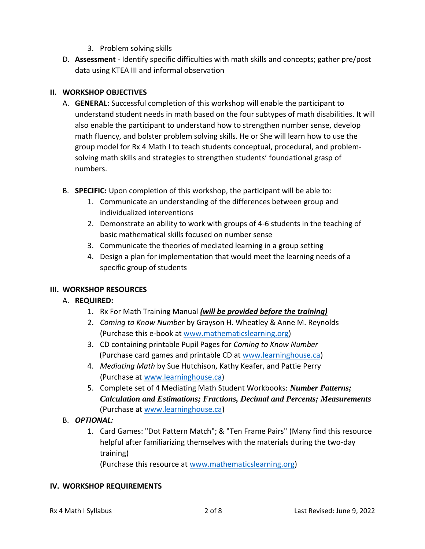- 3. Problem solving skills
- D. **Assessment** Identify specific difficulties with math skills and concepts; gather pre/post data using KTEA III and informal observation

### **II. WORKSHOP OBJECTIVES**

- A. **GENERAL:** Successful completion of this workshop will enable the participant to understand student needs in math based on the four subtypes of math disabilities. It will also enable the participant to understand how to strengthen number sense, develop math fluency, and bolster problem solving skills. He or She will learn how to use the group model for Rx 4 Math I to teach students conceptual, procedural, and problemsolving math skills and strategies to strengthen students' foundational grasp of numbers.
- B. **SPECIFIC:** Upon completion of this workshop, the participant will be able to:
	- 1. Communicate an understanding of the differences between group and individualized interventions
	- 2. Demonstrate an ability to work with groups of 4-6 students in the teaching of basic mathematical skills focused on number sense
	- 3. Communicate the theories of mediated learning in a group setting
	- 4. Design a plan for implementation that would meet the learning needs of a specific group of students

## **III. WORKSHOP RESOURCES**

## A. **REQUIRED:**

- 1. Rx For Math Training Manual *(will be provided before the training)*
- 2. *Coming to Know Number* by Grayson H. Wheatley & Anne M. Reynolds (Purchase this e-book at [www.mathematicslearning.org\)](http://www.mathematicslearning.org/)
- 3. CD containing printable Pupil Pages for *Coming to Know Number* (Purchase card games and printable CD at [www.learninghouse.ca\)](http://www.learninghouse.ca/)
- 4. *Mediating Math* by Sue Hutchison, Kathy Keafer, and Pattie Perry (Purchase at [www.learninghouse.ca\)](http://www.learninghouse.ca/)
- 5. Complete set of 4 Mediating Math Student Workbooks: *Number Patterns; Calculation and Estimations; Fractions, Decimal and Percents; Measurements*  (Purchase at [www.learninghouse.ca\)](http://www.learninghouse.ca/)
- B. *OPTIONAL:*
	- 1. Card Games: "Dot Pattern Match"; & "Ten Frame Pairs" (Many find this resource helpful after familiarizing themselves with the materials during the two-day training)

(Purchase this resource at [www.mathematicslearning.org\)](http://www.mathematicslearning.org/)

#### **IV. WORKSHOP REQUIREMENTS**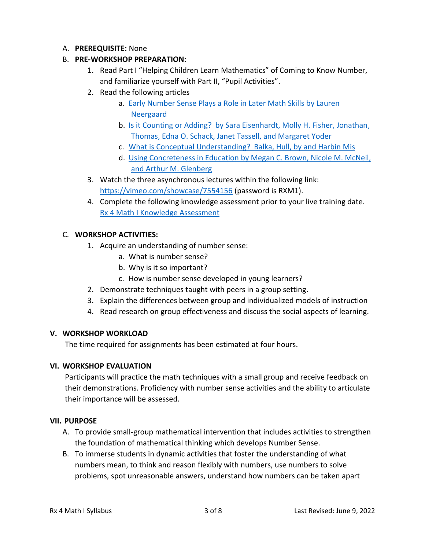#### A. **PREREQUISITE:** None

### B. **PRE-WORKSHOP PREPARATION:**

- 1. Read Part I "Helping Children Learn Mathematics" of Coming to Know Number, and familiarize yourself with Part II, "Pupil Activities".
- 2. Read the following articles
	- a. [Early Number Sense Plays a Role in Later Math Skills by Lauren](https://nildcanada.org/wp-content/uploads/2020/12/Early-number-sense-plays-role-in-later-math-skills.pdf)  [Neergaard](https://nildcanada.org/wp-content/uploads/2020/12/Early-number-sense-plays-role-in-later-math-skills.pdf)
	- b. [Is it Counting or Adding? by Sara Eisenhardt, Molly H. Fisher, Jonathan,](https://nildcanada.org/wp-content/uploads/2020/12/Is-It-Counting-or-Is-It-Adding.pdf)  [Thomas, Edna O. Schack, Janet](https://nildcanada.org/wp-content/uploads/2020/12/Is-It-Counting-or-Is-It-Adding.pdf) Tassell, and Margaret Yoder
	- c. [What is Conceptual Understanding? Balka, Hull, by and Harbin Mis](https://nildcanada.org/wp-content/uploads/2020/12/What-is-Conceptual-Understanding.pdf)
	- d. [Using Concreteness in Education by Megan C. Brown, Nicole M. McNeil,](https://nildcanada.org/wp-content/uploads/2020/12/Using-Concreteness-in-Education.pdf)  [and Arthur M. Glenberg](https://nildcanada.org/wp-content/uploads/2020/12/Using-Concreteness-in-Education.pdf)
- 3. Watch the three asynchronous lectures within the following link:
	- <https://vimeo.com/showcase/7554156> (password is RXM1).
- 4. Complete the following knowledge assessment prior to your live training date. [Rx 4 Math I Knowledge Assessment](https://docs.google.com/forms/d/11_mI9Al3gi0eavIS2eCc-8wPhAG_-VkrdIWQ5LsmzWg/edit)

#### C. **WORKSHOP ACTIVITIES:**

- 1. Acquire an understanding of number sense:
	- a. What is number sense?
	- b. Why is it so important?
	- c. How is number sense developed in young learners?
- 2. Demonstrate techniques taught with peers in a group setting.
- 3. Explain the differences between group and individualized models of instruction
- 4. Read research on group effectiveness and discuss the social aspects of learning.

#### **V. WORKSHOP WORKLOAD**

The time required for assignments has been estimated at four hours.

#### **VI. WORKSHOP EVALUATION**

Participants will practice the math techniques with a small group and receive feedback on their demonstrations. Proficiency with number sense activities and the ability to articulate their importance will be assessed.

#### **VII. PURPOSE**

- A. To provide small-group mathematical intervention that includes activities to strengthen the foundation of mathematical thinking which develops Number Sense.
- B. To immerse students in dynamic activities that foster the understanding of what numbers mean, to think and reason flexibly with numbers, use numbers to solve problems, spot unreasonable answers, understand how numbers can be taken apart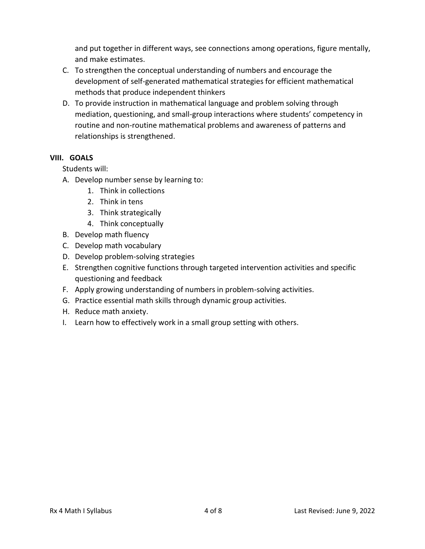and put together in different ways, see connections among operations, figure mentally, and make estimates.

- C. To strengthen the conceptual understanding of numbers and encourage the development of self-generated mathematical strategies for efficient mathematical methods that produce independent thinkers
- D. To provide instruction in mathematical language and problem solving through mediation, questioning, and small-group interactions where students' competency in routine and non-routine mathematical problems and awareness of patterns and relationships is strengthened.

### **VIII. GOALS**

Students will:

- A. Develop number sense by learning to:
	- 1. Think in collections
	- 2. Think in tens
	- 3. Think strategically
	- 4. Think conceptually
- B. Develop math fluency
- C. Develop math vocabulary
- D. Develop problem-solving strategies
- E. Strengthen cognitive functions through targeted intervention activities and specific questioning and feedback
- F. Apply growing understanding of numbers in problem-solving activities.
- G. Practice essential math skills through dynamic group activities.
- H. Reduce math anxiety.
- I. Learn how to effectively work in a small group setting with others.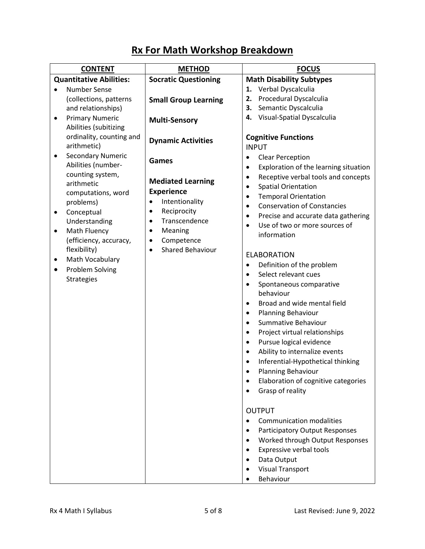| <b>CONTENT</b>                                                                                                                                                                                                                                                                                                                                  | <b>METHOD</b>                                                                                                                                                                                                                                      | <b>FOCUS</b>                                                                                                                                                                                                                                                                                                                                                                                                                                                                                                                                                                                                                                                                                                                                                                                                                                                                                                                                                                                                                                                                                                                                                                                                                           |
|-------------------------------------------------------------------------------------------------------------------------------------------------------------------------------------------------------------------------------------------------------------------------------------------------------------------------------------------------|----------------------------------------------------------------------------------------------------------------------------------------------------------------------------------------------------------------------------------------------------|----------------------------------------------------------------------------------------------------------------------------------------------------------------------------------------------------------------------------------------------------------------------------------------------------------------------------------------------------------------------------------------------------------------------------------------------------------------------------------------------------------------------------------------------------------------------------------------------------------------------------------------------------------------------------------------------------------------------------------------------------------------------------------------------------------------------------------------------------------------------------------------------------------------------------------------------------------------------------------------------------------------------------------------------------------------------------------------------------------------------------------------------------------------------------------------------------------------------------------------|
| <b>Quantitative Abilities:</b>                                                                                                                                                                                                                                                                                                                  | <b>Socratic Questioning</b>                                                                                                                                                                                                                        | <b>Math Disability Subtypes</b>                                                                                                                                                                                                                                                                                                                                                                                                                                                                                                                                                                                                                                                                                                                                                                                                                                                                                                                                                                                                                                                                                                                                                                                                        |
| <b>Number Sense</b><br>$\bullet$<br>(collections, patterns<br>and relationships)<br><b>Primary Numeric</b><br>$\bullet$<br>Abilities (subitizing<br>ordinality, counting and                                                                                                                                                                    | <b>Small Group Learning</b><br><b>Multi-Sensory</b>                                                                                                                                                                                                | 1. Verbal Dyscalculia<br>Procedural Dyscalculia<br>2.<br>Semantic Dyscalculia<br>3.<br>Visual-Spatial Dyscalculia<br>4.<br><b>Cognitive Functions</b>                                                                                                                                                                                                                                                                                                                                                                                                                                                                                                                                                                                                                                                                                                                                                                                                                                                                                                                                                                                                                                                                                  |
| arithmetic)<br><b>Secondary Numeric</b><br>$\bullet$<br>Abilities (number-<br>counting system,<br>arithmetic<br>computations, word<br>problems)<br>Conceptual<br>$\bullet$<br>Understanding<br>Math Fluency<br>$\bullet$<br>(efficiency, accuracy,<br>flexibility)<br>Math Vocabulary<br>٠<br><b>Problem Solving</b><br>$\bullet$<br>Strategies | <b>Dynamic Activities</b><br><b>Games</b><br><b>Mediated Learning</b><br><b>Experience</b><br>Intentionality<br>$\bullet$<br>Reciprocity<br>$\bullet$<br>Transcendence<br>$\bullet$<br>Meaning<br>٠<br>Competence<br>$\bullet$<br>Shared Behaviour | <b>INPUT</b><br><b>Clear Perception</b><br>$\bullet$<br>Exploration of the learning situation<br>$\bullet$<br>Receptive verbal tools and concepts<br>$\bullet$<br><b>Spatial Orientation</b><br>$\bullet$<br><b>Temporal Orientation</b><br>$\bullet$<br><b>Conservation of Constancies</b><br>$\bullet$<br>Precise and accurate data gathering<br>$\bullet$<br>Use of two or more sources of<br>$\bullet$<br>information<br><b>ELABORATION</b><br>Definition of the problem<br>$\bullet$<br>Select relevant cues<br>$\bullet$<br>Spontaneous comparative<br>$\bullet$<br>behaviour<br>Broad and wide mental field<br>$\bullet$<br>Planning Behaviour<br>$\bullet$<br>Summative Behaviour<br>$\bullet$<br>Project virtual relationships<br>$\bullet$<br>Pursue logical evidence<br>$\bullet$<br>Ability to internalize events<br>$\bullet$<br>Inferential-Hypothetical thinking<br>$\bullet$<br><b>Planning Behaviour</b><br>Elaboration of cognitive categories<br>Grasp of reality<br><b>OUTPUT</b><br><b>Communication modalities</b><br>$\bullet$<br>Participatory Output Responses<br>Worked through Output Responses<br>$\bullet$<br>Expressive verbal tools<br>$\bullet$<br>Data Output<br><b>Visual Transport</b><br>Behaviour |

# **Rx For Math Workshop Breakdown**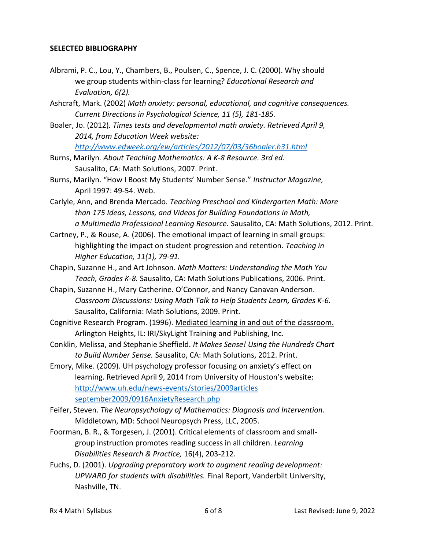#### **SELECTED BIBLIOGRAPHY**

- Albrami, P. C., Lou, Y., Chambers, B., Poulsen, C., Spence, J. C. (2000). Why should we group students within-class for learning? *Educational Research and Evaluation, 6(2).*
- Ashcraft, Mark. (2002) *Math anxiety: personal, educational, and cognitive consequences. Current Directions in Psychological Science, 11 (5), 181-185.*
- Boaler, Jo. (2012)*. Times tests and developmental math anxiety. Retrieved April 9, 2014, from Education Week website: <http://www.edweek.org/ew/articles/2012/07/03/36boaler.h31.html>*
- Burns, Marilyn*. About Teaching Mathematics: A K-8 Resource. 3rd ed.* Sausalito, CA: Math Solutions, 2007. Print.
- Burns, Marilyn. "How I Boost My Students' Number Sense." *Instructor Magazine,* April 1997: 49-54. Web.
- Carlyle, Ann, and Brenda Mercado*. Teaching Preschool and Kindergarten Math: More than 175 Ideas, Lessons, and Videos for Building Foundations in Math, a Multimedia Professional Learning Resource.* Sausalito, CA: Math Solutions, 2012. Print.
- Cartney, P., & Rouse, A. (2006)*.* The emotional impact of learning in small groups: highlighting the impact on student progression and retention. *Teaching in Higher Education, 11(1), 79-91.*
- Chapin, Suzanne H., and Art Johnson. *Math Matters: Understanding the Math You Teach, Grades K-8.* Sausalito, CA: Math Solutions Publications, 2006. Print.
- Chapin, Suzanne H., Mary Catherine. O'Connor, and Nancy Canavan Anderson. *Classroom Discussions: Using Math Talk to Help Students Learn, Grades K-6.* Sausalito, California: Math Solutions, 2009. Print*.*
- Cognitive Research Program. (1996). Mediated learning in and out of the classroom. Arlington Heights, IL: IRI/SkyLight Training and Publishing, Inc.
- Conklin, Melissa, and Stephanie Sheffield. *It Makes Sense! Using the Hundreds Chart to Build Number Sense.* Sausalito, CA: Math Solutions, 2012. Print.
- Emory, Mike. (2009). UH psychology professor focusing on anxiety's effect on learning. Retrieved April 9, 2014 from University of Houston's website: [http://www.uh.edu/news-events/stories/2009articles](https://uh.edu/news-events/stories/2019/october-2019/101419-hope-anxiety-gallagher.php)  [september2009/0916AnxietyResearch.php](https://uh.edu/news-events/stories/2019/october-2019/101419-hope-anxiety-gallagher.php)
- Feifer, Steven. *The Neuropsychology of Mathematics: Diagnosis and Intervention*. Middletown, MD: School Neuropsych Press, LLC, 2005.
- Foorman, B. R., & Torgesen, J. (2001). Critical elements of classroom and smallgroup instruction promotes reading success in all children. *Learning Disabilities Research & Practice,* 16(4), 203-212.
- Fuchs, D. (2001). *Upgrading preparatory work to augment reading development: UPWARD for students with disabilities.* Final Report, Vanderbilt University, Nashville, TN.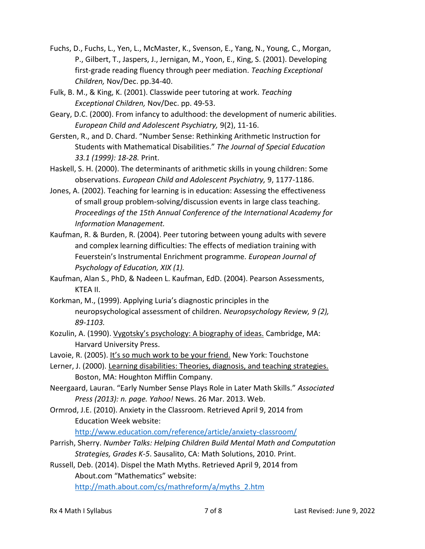- Fuchs, D., Fuchs, L., Yen, L., McMaster, K., Svenson, E., Yang, N., Young, C., Morgan, P., Gilbert, T., Jaspers, J., Jernigan, M., Yoon, E., King, S. (2001). Developing first-grade reading fluency through peer mediation. *Teaching Exceptional Children,* Nov/Dec. pp.34-40.
- Fulk, B. M., & King, K. (2001). Classwide peer tutoring at work. *Teaching Exceptional Children,* Nov/Dec. pp. 49-53.
- Geary, D.C. (2000). From infancy to adulthood: the development of numeric abilities. *European Child and Adolescent Psychiatry,* 9(2), 11-16.
- Gersten, R., and D. Chard. "Number Sense: Rethinking Arithmetic Instruction for Students with Mathematical Disabilities." *The Journal of Special Education 33.1 (1999): 18-28.* Print.
- Haskell, S. H. (2000). The determinants of arithmetic skills in young children: Some observations. *European Child and Adolescent Psychiatry,* 9, 1177-1186.
- Jones, A. (2002). Teaching for learning is in education: Assessing the effectiveness of small group problem-solving/discussion events in large class teaching. *Proceedings of the 15th Annual Conference of the International Academy for Information Management.*
- Kaufman, R. & Burden, R. (2004). Peer tutoring between young adults with severe and complex learning difficulties: The effects of mediation training with Feuerstein's Instrumental Enrichment programme. *European Journal of Psychology of Education, XIX (1).*
- Kaufman, Alan S., PhD, & Nadeen L. Kaufman, EdD. (2004). Pearson Assessments, KTEA II.
- Korkman, M., (1999). Applying Luria's diagnostic principles in the neuropsychological assessment of children. *Neuropsychology Review, 9 (2), 89-1103.*
- Kozulin, A. (1990). Vygotsky's psychology: A biography of ideas. Cambridge, MA: Harvard University Press.
- Lavoie, R. (2005). It's so much work to be your friend. New York: Touchstone
- Lerner, J. (2000). Learning disabilities: Theories, diagnosis, and teaching strategies. Boston, MA: Houghton Mifflin Company.
- Neergaard, Lauran. "Early Number Sense Plays Role in Later Math Skills." *Associated Press (2013): n. page. Yahoo!* News. 26 Mar. 2013. Web.
- Ormrod, J.E. (2010). Anxiety in the Classroom. Retrieved April 9, 2014 from Education Week website:

[http://www.education.com/reference/article/anxiety-classroom/](https://childmind.org/article/classroom-anxiety-in-children/)

- Parrish, Sherry. *Number Talks: Helping Children Build Mental Math and Computation Strategies, Grades K-5*. Sausalito, CA: Math Solutions, 2010. Print.
- Russell, Deb. (2014). Dispel the Math Myths. Retrieved April 9, 2014 from About.com "Mathematics" website: [http://math.about.com/cs/mathreform/a/myths\\_2.htm](http://math.about.com/cs/mathreform/a/myths_2.htm)